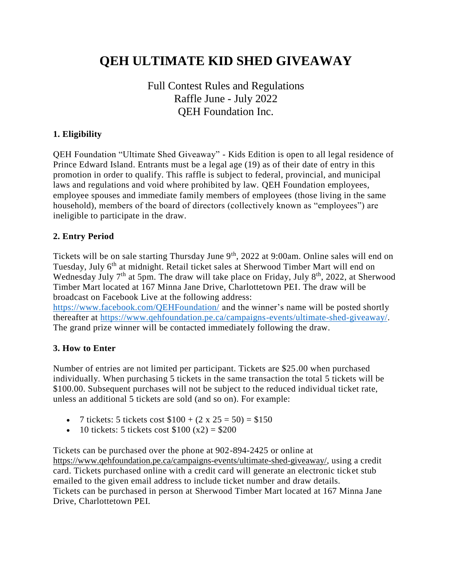# **QEH ULTIMATE KID SHED GIVEAWAY**

# Full Contest Rules and Regulations Raffle June - July 2022 QEH Foundation Inc.

#### **1. Eligibility**

QEH Foundation "Ultimate Shed Giveaway" - Kids Edition is open to all legal residence of Prince Edward Island. Entrants must be a legal age (19) as of their date of entry in this promotion in order to qualify. This raffle is subject to federal, provincial, and municipal laws and regulations and void where prohibited by law. QEH Foundation employees, employee spouses and immediate family members of employees (those living in the same household), members of the board of directors (collectively known as "employees") are ineligible to participate in the draw.

#### **2. Entry Period**

Tickets will be on sale starting Thursday June 9<sup>th</sup>, 2022 at 9:00am. Online sales will end on Tuesday, July 6<sup>th</sup> at midnight. Retail ticket sales at Sherwood Timber Mart will end on Wednesday July  $7<sup>th</sup>$  at 5pm. The draw will take place on Friday, July  $8<sup>th</sup>$ , 2022, at Sherwood Timber Mart located at 167 Minna Jane Drive, Charlottetown PEI. The draw will be broadcast on Facebook Live at the following address:

<https://www.facebook.com/QEHFoundation/> and the winner's name will be posted shortly thereafter at [https://www.qehfoundation.pe.ca/campaigns-events/ultimate-shed-giveaway/.](https://www.qehfoundation.pe.ca/campaigns-events/ultimate-shed-giveaway/) The grand prize winner will be contacted immediately following the draw.

#### **3. How to Enter**

Number of entries are not limited per participant. Tickets are \$25.00 when purchased individually. When purchasing 5 tickets in the same transaction the total 5 tickets will be \$100.00. Subsequent purchases will not be subject to the reduced individual ticket rate, unless an additional 5 tickets are sold (and so on). For example:

- 7 tickets: 5 tickets cost  $$100 + (2 \times 25 = 50) = $150$
- 10 tickets: 5 tickets cost  $$100 (x2) = $200$

Tickets can be purchased over the phone at 902-894-2425 or online at https://www.qehfoundation.pe.ca/campaigns-events/ultimate-shed-giveaway/, using a credit card. Tickets purchased online with a credit card will generate an electronic ticket stub emailed to the given email address to include ticket number and draw details. Tickets can be purchased in person at Sherwood Timber Mart located at 167 Minna Jane Drive, Charlottetown PEI.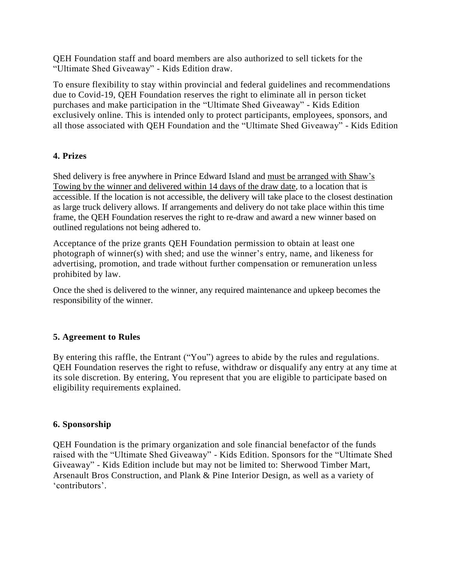QEH Foundation staff and board members are also authorized to sell tickets for the "Ultimate Shed Giveaway" - Kids Edition draw.

To ensure flexibility to stay within provincial and federal guidelines and recommendations due to Covid-19, QEH Foundation reserves the right to eliminate all in person ticket purchases and make participation in the "Ultimate Shed Giveaway" - Kids Edition exclusively online. This is intended only to protect participants, employees, sponsors, and all those associated with QEH Foundation and the "Ultimate Shed Giveaway" - Kids Edition

## **4. Prizes**

Shed delivery is free anywhere in Prince Edward Island and must be arranged with Shaw's Towing by the winner and delivered within 14 days of the draw date, to a location that is accessible. If the location is not accessible, the delivery will take place to the closest destination as large truck delivery allows. If arrangements and delivery do not take place within this time frame, the QEH Foundation reserves the right to re-draw and award a new winner based on outlined regulations not being adhered to.

Acceptance of the prize grants QEH Foundation permission to obtain at least one photograph of winner(s) with shed; and use the winner's entry, name, and likeness for advertising, promotion, and trade without further compensation or remuneration unless prohibited by law.

Once the shed is delivered to the winner, any required maintenance and upkeep becomes the responsibility of the winner.

## **5. Agreement to Rules**

By entering this raffle, the Entrant ("You") agrees to abide by the rules and regulations. QEH Foundation reserves the right to refuse, withdraw or disqualify any entry at any time at its sole discretion. By entering, You represent that you are eligible to participate based on eligibility requirements explained.

## **6. Sponsorship**

QEH Foundation is the primary organization and sole financial benefactor of the funds raised with the "Ultimate Shed Giveaway" - Kids Edition. Sponsors for the "Ultimate Shed Giveaway" - Kids Edition include but may not be limited to: Sherwood Timber Mart, Arsenault Bros Construction, and Plank & Pine Interior Design, as well as a variety of 'contributors'.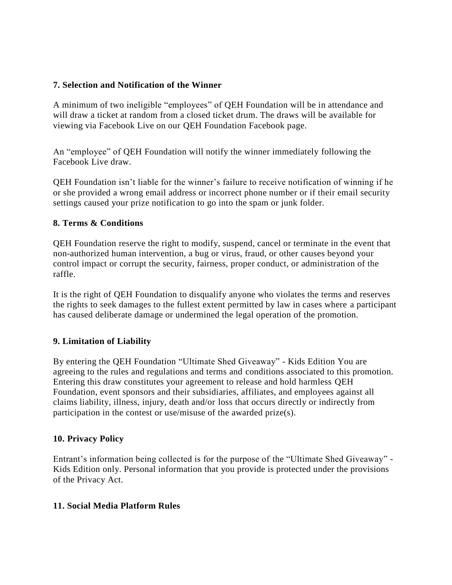#### **7. Selection and Notification of the Winner**

A minimum of two ineligible "employees" of QEH Foundation will be in attendance and will draw a ticket at random from a closed ticket drum. The draws will be available for viewing via Facebook Live on our QEH Foundation Facebook page.

An "employee" of QEH Foundation will notify the winner immediately following the Facebook Live draw.

QEH Foundation isn't liable for the winner's failure to receive notification of winning if he or she provided a wrong email address or incorrect phone number or if their email security settings caused your prize notification to go into the spam or junk folder.

#### **8. Terms & Conditions**

QEH Foundation reserve the right to modify, suspend, cancel or terminate in the event that non-authorized human intervention, a bug or virus, fraud, or other causes beyond your control impact or corrupt the security, fairness, proper conduct, or administration of the raffle.

It is the right of QEH Foundation to disqualify anyone who violates the terms and reserves the rights to seek damages to the fullest extent permitted by law in cases where a participant has caused deliberate damage or undermined the legal operation of the promotion.

## **9. Limitation of Liability**

By entering the QEH Foundation "Ultimate Shed Giveaway" - Kids Edition You are agreeing to the rules and regulations and terms and conditions associated to this promotion. Entering this draw constitutes your agreement to release and hold harmless QEH Foundation, event sponsors and their subsidiaries, affiliates, and employees against all claims liability, illness, injury, death and/or loss that occurs directly or indirectly from participation in the contest or use/misuse of the awarded prize(s).

## **10. Privacy Policy**

Entrant's information being collected is for the purpose of the "Ultimate Shed Giveaway" - Kids Edition only. Personal information that you provide is protected under the provisions of the Privacy Act.

## **11. Social Media Platform Rules**